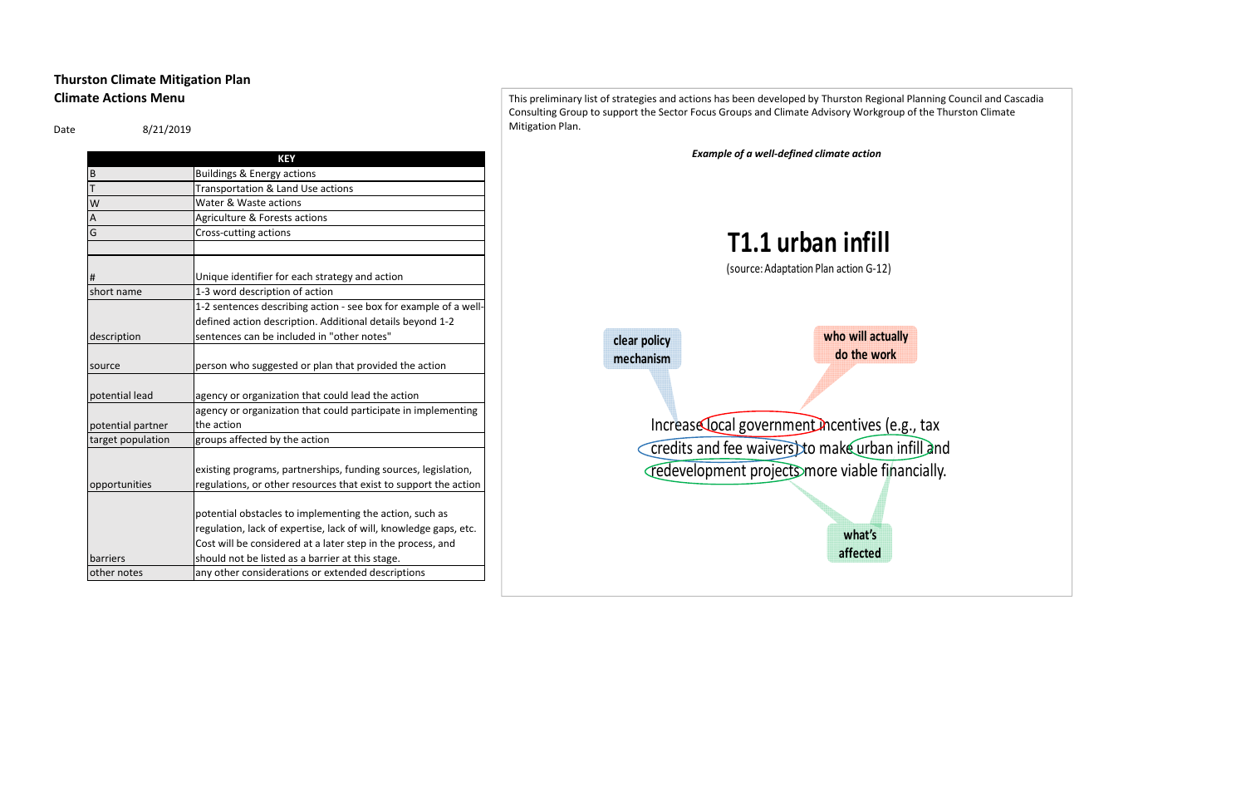## **Thurston Climate Mitigation Plan Climate Actions Menu**

Date 8/21/2019

|                   | <b>KEY</b>                                                        |  |  |  |  |  |
|-------------------|-------------------------------------------------------------------|--|--|--|--|--|
| B                 | <b>Buildings &amp; Energy actions</b>                             |  |  |  |  |  |
| T                 | Transportation & Land Use actions                                 |  |  |  |  |  |
| W                 | Water & Waste actions                                             |  |  |  |  |  |
| Α                 | Agriculture & Forests actions                                     |  |  |  |  |  |
| G                 | Cross-cutting actions                                             |  |  |  |  |  |
|                   |                                                                   |  |  |  |  |  |
|                   |                                                                   |  |  |  |  |  |
| #                 | Unique identifier for each strategy and action                    |  |  |  |  |  |
| short name        | 1-3 word description of action                                    |  |  |  |  |  |
|                   | 1-2 sentences describing action - see box for example of a well-  |  |  |  |  |  |
|                   | defined action description. Additional details beyond 1-2         |  |  |  |  |  |
| description       | sentences can be included in "other notes"                        |  |  |  |  |  |
|                   |                                                                   |  |  |  |  |  |
| source            | person who suggested or plan that provided the action             |  |  |  |  |  |
|                   |                                                                   |  |  |  |  |  |
| potential lead    | agency or organization that could lead the action                 |  |  |  |  |  |
|                   | agency or organization that could participate in implementing     |  |  |  |  |  |
| potential partner | the action                                                        |  |  |  |  |  |
| target population | groups affected by the action                                     |  |  |  |  |  |
|                   |                                                                   |  |  |  |  |  |
|                   | existing programs, partnerships, funding sources, legislation,    |  |  |  |  |  |
| opportunities     | regulations, or other resources that exist to support the action  |  |  |  |  |  |
|                   |                                                                   |  |  |  |  |  |
|                   | potential obstacles to implementing the action, such as           |  |  |  |  |  |
|                   | regulation, lack of expertise, lack of will, knowledge gaps, etc. |  |  |  |  |  |
|                   | Cost will be considered at a later step in the process, and       |  |  |  |  |  |
| barriers          | should not be listed as a barrier at this stage.                  |  |  |  |  |  |
| other notes       | any other considerations or extended descriptions                 |  |  |  |  |  |
|                   |                                                                   |  |  |  |  |  |

This preliminary list of strategies and actions has been developed by Thurston Regional Planning Council and Cascadia Consulting Group to support the Sector Focus Groups and Climate Advisory Workgroup of the Thurston Climate Mitigation Plan.

*Example of a well‐defined climate action*

**who will actually do the work**

Increase local government incentives (e.g., tax credits and fee waivers) to make urban infill and redevelopment projects more viable financially.

**clear policy mechanism**

> **what's affected**



## **T1.1 urban infill**

(source: Adaptation Plan action G‐12)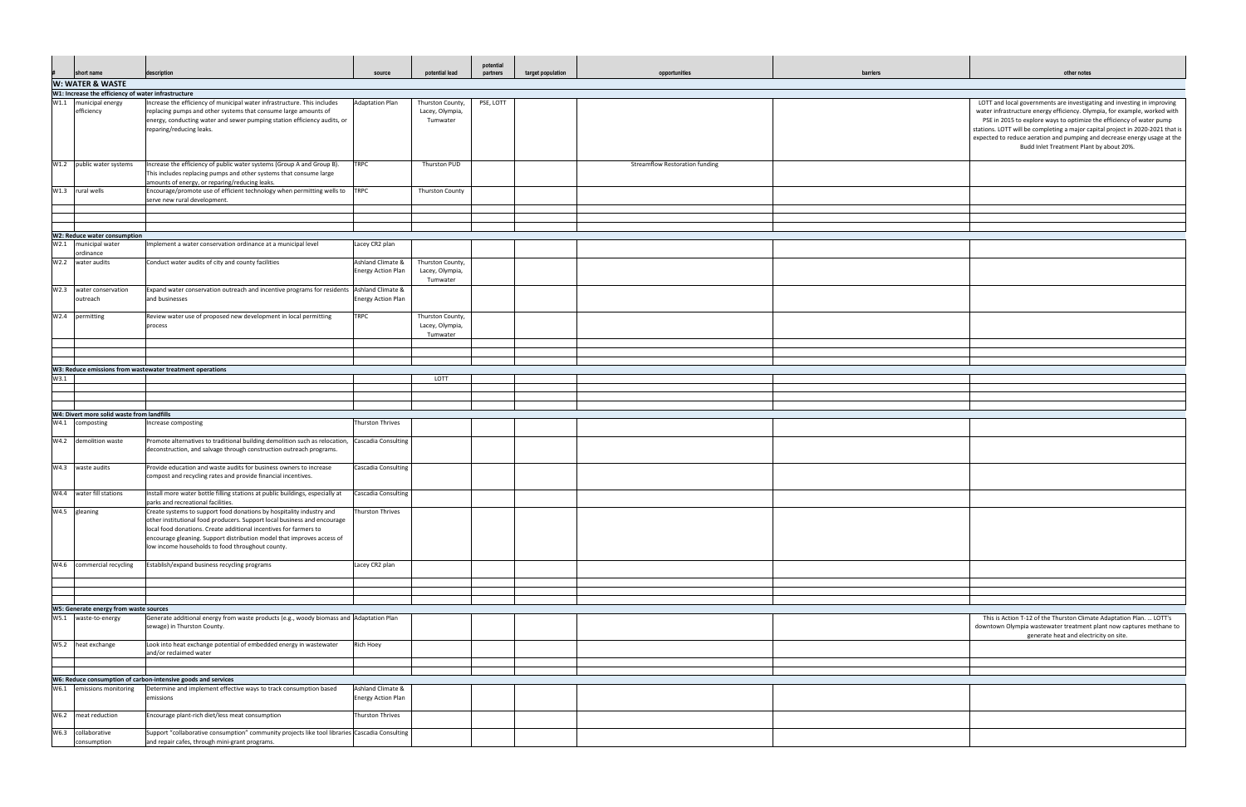| barriers | other notes                                                                                                                                                                                                                                                                                                                                                                                                                            |  |  |  |  |  |  |
|----------|----------------------------------------------------------------------------------------------------------------------------------------------------------------------------------------------------------------------------------------------------------------------------------------------------------------------------------------------------------------------------------------------------------------------------------------|--|--|--|--|--|--|
|          |                                                                                                                                                                                                                                                                                                                                                                                                                                        |  |  |  |  |  |  |
|          | LOTT and local governments are investigating and investing in improving<br>water infrastructure energy efficiency. Olympia, for example, worked with<br>PSE in 2015 to explore ways to optimize the efficiency of water pump<br>stations. LOTT will be completing a major capital project in 2020-2021 that is<br>expected to reduce aeration and pumping and decrease energy usage at the<br>Budd Inlet Treatment Plant by about 20%. |  |  |  |  |  |  |
|          |                                                                                                                                                                                                                                                                                                                                                                                                                                        |  |  |  |  |  |  |
|          |                                                                                                                                                                                                                                                                                                                                                                                                                                        |  |  |  |  |  |  |
|          |                                                                                                                                                                                                                                                                                                                                                                                                                                        |  |  |  |  |  |  |
|          |                                                                                                                                                                                                                                                                                                                                                                                                                                        |  |  |  |  |  |  |
|          |                                                                                                                                                                                                                                                                                                                                                                                                                                        |  |  |  |  |  |  |
|          |                                                                                                                                                                                                                                                                                                                                                                                                                                        |  |  |  |  |  |  |
|          |                                                                                                                                                                                                                                                                                                                                                                                                                                        |  |  |  |  |  |  |
|          |                                                                                                                                                                                                                                                                                                                                                                                                                                        |  |  |  |  |  |  |
|          |                                                                                                                                                                                                                                                                                                                                                                                                                                        |  |  |  |  |  |  |
|          |                                                                                                                                                                                                                                                                                                                                                                                                                                        |  |  |  |  |  |  |
|          |                                                                                                                                                                                                                                                                                                                                                                                                                                        |  |  |  |  |  |  |
|          |                                                                                                                                                                                                                                                                                                                                                                                                                                        |  |  |  |  |  |  |
|          |                                                                                                                                                                                                                                                                                                                                                                                                                                        |  |  |  |  |  |  |
|          |                                                                                                                                                                                                                                                                                                                                                                                                                                        |  |  |  |  |  |  |
|          |                                                                                                                                                                                                                                                                                                                                                                                                                                        |  |  |  |  |  |  |
|          |                                                                                                                                                                                                                                                                                                                                                                                                                                        |  |  |  |  |  |  |
|          |                                                                                                                                                                                                                                                                                                                                                                                                                                        |  |  |  |  |  |  |
|          |                                                                                                                                                                                                                                                                                                                                                                                                                                        |  |  |  |  |  |  |
|          |                                                                                                                                                                                                                                                                                                                                                                                                                                        |  |  |  |  |  |  |
|          | This is Action T-12 of the Thurston Climate Adaptation Plan.  LOTT's<br>downtown Olympia wastewater treatment plant now captures methane to<br>generate heat and electricity on site.                                                                                                                                                                                                                                                  |  |  |  |  |  |  |
|          |                                                                                                                                                                                                                                                                                                                                                                                                                                        |  |  |  |  |  |  |
|          |                                                                                                                                                                                                                                                                                                                                                                                                                                        |  |  |  |  |  |  |
|          |                                                                                                                                                                                                                                                                                                                                                                                                                                        |  |  |  |  |  |  |
|          |                                                                                                                                                                                                                                                                                                                                                                                                                                        |  |  |  |  |  |  |
|          |                                                                                                                                                                                                                                                                                                                                                                                                                                        |  |  |  |  |  |  |

|      |                                                                |                                                                                                                                                                                                                                                                                                                                                     |                                                |                                                 | potential |                   |                                       |          |                                                                                                                                                                                                                                                                                                                                                                                                                                    |
|------|----------------------------------------------------------------|-----------------------------------------------------------------------------------------------------------------------------------------------------------------------------------------------------------------------------------------------------------------------------------------------------------------------------------------------------|------------------------------------------------|-------------------------------------------------|-----------|-------------------|---------------------------------------|----------|------------------------------------------------------------------------------------------------------------------------------------------------------------------------------------------------------------------------------------------------------------------------------------------------------------------------------------------------------------------------------------------------------------------------------------|
| #    | short name                                                     | description                                                                                                                                                                                                                                                                                                                                         | source                                         | potential lead                                  | partners  | target population | opportunities                         | barriers | other notes                                                                                                                                                                                                                                                                                                                                                                                                                        |
|      | W: WATER & WASTE                                               |                                                                                                                                                                                                                                                                                                                                                     |                                                |                                                 |           |                   |                                       |          |                                                                                                                                                                                                                                                                                                                                                                                                                                    |
|      | W1: Increase the efficiency of water infrastructure            |                                                                                                                                                                                                                                                                                                                                                     |                                                |                                                 |           |                   |                                       |          |                                                                                                                                                                                                                                                                                                                                                                                                                                    |
| W1.1 | municipal energy<br>efficiency                                 | ncrease the efficiency of municipal water infrastructure. This includes<br>replacing pumps and other systems that consume large amounts of<br>energy, conducting water and sewer pumping station efficiency audits, or<br>reparing/reducing leaks.                                                                                                  | <b>Adaptation Plan</b>                         | Thurston County,<br>Lacey, Olympia,<br>Tumwater | PSE, LOTT |                   |                                       |          | LOTT and local governments are investigating and investing in improving<br>water infrastructure energy efficiency. Olympia, for example, worked with<br>PSE in 2015 to explore ways to optimize the efficiency of water pump<br>stations. LOTT will be completing a major capital project in 2020-2021 that<br>expected to reduce aeration and pumping and decrease energy usage at th<br>Budd Inlet Treatment Plant by about 20%. |
|      | W1.2 public water systems                                      | Increase the efficiency of public water systems (Group A and Group B).<br>This includes replacing pumps and other systems that consume large<br>amounts of energy, or reparing/reducing leaks.                                                                                                                                                      | <b>TRPC</b>                                    | Thurston PUD                                    |           |                   | <b>Streamflow Restoration funding</b> |          |                                                                                                                                                                                                                                                                                                                                                                                                                                    |
|      | W1.3 rural wells                                               | Encourage/promote use of efficient technology when permitting wells to TRPC<br>serve new rural development.                                                                                                                                                                                                                                         |                                                | <b>Thurston County</b>                          |           |                   |                                       |          |                                                                                                                                                                                                                                                                                                                                                                                                                                    |
|      |                                                                |                                                                                                                                                                                                                                                                                                                                                     |                                                |                                                 |           |                   |                                       |          |                                                                                                                                                                                                                                                                                                                                                                                                                                    |
|      |                                                                |                                                                                                                                                                                                                                                                                                                                                     |                                                |                                                 |           |                   |                                       |          |                                                                                                                                                                                                                                                                                                                                                                                                                                    |
|      | W2: Reduce water consumption                                   |                                                                                                                                                                                                                                                                                                                                                     |                                                |                                                 |           |                   |                                       |          |                                                                                                                                                                                                                                                                                                                                                                                                                                    |
|      | W2.1 municipal water<br>ordinance                              | Implement a water conservation ordinance at a municipal level                                                                                                                                                                                                                                                                                       | Lacey CR2 plan                                 |                                                 |           |                   |                                       |          |                                                                                                                                                                                                                                                                                                                                                                                                                                    |
|      | W2.2 water audits                                              | Conduct water audits of city and county facilities                                                                                                                                                                                                                                                                                                  | Ashland Climate 8<br><b>Energy Action Plan</b> | Thurston County,<br>Lacey, Olympia,<br>Tumwater |           |                   |                                       |          |                                                                                                                                                                                                                                                                                                                                                                                                                                    |
|      | W2.3 water conservation<br>outreach                            | Expand water conservation outreach and incentive programs for residents Ashland Climate &<br>and businesses                                                                                                                                                                                                                                         | <b>Energy Action Plan</b>                      |                                                 |           |                   |                                       |          |                                                                                                                                                                                                                                                                                                                                                                                                                                    |
|      | W2.4 permitting                                                | Review water use of proposed new development in local permitting<br>process                                                                                                                                                                                                                                                                         | <b>TRPC</b>                                    | Thurston County,<br>Lacey, Olympia,<br>Tumwater |           |                   |                                       |          |                                                                                                                                                                                                                                                                                                                                                                                                                                    |
|      |                                                                |                                                                                                                                                                                                                                                                                                                                                     |                                                |                                                 |           |                   |                                       |          |                                                                                                                                                                                                                                                                                                                                                                                                                                    |
|      |                                                                |                                                                                                                                                                                                                                                                                                                                                     |                                                |                                                 |           |                   |                                       |          |                                                                                                                                                                                                                                                                                                                                                                                                                                    |
|      |                                                                | W3: Reduce emissions from wastewater treatment operations                                                                                                                                                                                                                                                                                           |                                                |                                                 |           |                   |                                       |          |                                                                                                                                                                                                                                                                                                                                                                                                                                    |
| W3.1 |                                                                |                                                                                                                                                                                                                                                                                                                                                     |                                                | LOTT                                            |           |                   |                                       |          |                                                                                                                                                                                                                                                                                                                                                                                                                                    |
|      |                                                                |                                                                                                                                                                                                                                                                                                                                                     |                                                |                                                 |           |                   |                                       |          |                                                                                                                                                                                                                                                                                                                                                                                                                                    |
|      |                                                                |                                                                                                                                                                                                                                                                                                                                                     |                                                |                                                 |           |                   |                                       |          |                                                                                                                                                                                                                                                                                                                                                                                                                                    |
|      | W4: Divert more solid waste from landfills                     |                                                                                                                                                                                                                                                                                                                                                     |                                                |                                                 |           |                   |                                       |          |                                                                                                                                                                                                                                                                                                                                                                                                                                    |
|      | W4.1 composting                                                | Increase composting                                                                                                                                                                                                                                                                                                                                 | <b>Thurston Thrives</b>                        |                                                 |           |                   |                                       |          |                                                                                                                                                                                                                                                                                                                                                                                                                                    |
|      | W4.2 demolition waste                                          | Promote alternatives to traditional building demolition such as relocation,<br>deconstruction, and salvage through construction outreach programs.                                                                                                                                                                                                  | Cascadia Consulting                            |                                                 |           |                   |                                       |          |                                                                                                                                                                                                                                                                                                                                                                                                                                    |
|      | W4.3 waste audits                                              | Provide education and waste audits for business owners to increase<br>compost and recycling rates and provide financial incentives.                                                                                                                                                                                                                 | Cascadia Consulting                            |                                                 |           |                   |                                       |          |                                                                                                                                                                                                                                                                                                                                                                                                                                    |
|      | W4.4 water fill stations                                       | Install more water bottle filling stations at public buildings, especially at<br>parks and recreational facilities.                                                                                                                                                                                                                                 | Cascadia Consulting                            |                                                 |           |                   |                                       |          |                                                                                                                                                                                                                                                                                                                                                                                                                                    |
|      | W4.5 gleaning                                                  | Create systems to support food donations by hospitality industry and<br>other institutional food producers. Support local business and encourage<br>local food donations. Create additional incentives for farmers to<br>encourage gleaning. Support distribution model that improves access of<br>low income households to food throughout county. | Thurston Thrives                               |                                                 |           |                   |                                       |          |                                                                                                                                                                                                                                                                                                                                                                                                                                    |
|      | W4.6 commercial recycling                                      | Establish/expand business recycling programs                                                                                                                                                                                                                                                                                                        | Lacey CR2 plan                                 |                                                 |           |                   |                                       |          |                                                                                                                                                                                                                                                                                                                                                                                                                                    |
|      |                                                                |                                                                                                                                                                                                                                                                                                                                                     |                                                |                                                 |           |                   |                                       |          |                                                                                                                                                                                                                                                                                                                                                                                                                                    |
|      |                                                                |                                                                                                                                                                                                                                                                                                                                                     |                                                |                                                 |           |                   |                                       |          |                                                                                                                                                                                                                                                                                                                                                                                                                                    |
|      | W5: Generate energy from waste sources<br>W5.1 waste-to-energy | Generate additional energy from waste products (e.g., woody biomass and Adaptation Plan                                                                                                                                                                                                                                                             |                                                |                                                 |           |                   |                                       |          | This is Action T-12 of the Thurston Climate Adaptation Plan.  LOTT's                                                                                                                                                                                                                                                                                                                                                               |
|      |                                                                | sewage) in Thurston County.                                                                                                                                                                                                                                                                                                                         |                                                |                                                 |           |                   |                                       |          | downtown Olympia wastewater treatment plant now captures methane to<br>generate heat and electricity on site.                                                                                                                                                                                                                                                                                                                      |
|      | W5.2 heat exchange                                             | Look into heat exchange potential of embedded energy in wastewater<br>and/or reclaimed water                                                                                                                                                                                                                                                        | Rich Hoey                                      |                                                 |           |                   |                                       |          |                                                                                                                                                                                                                                                                                                                                                                                                                                    |
|      |                                                                |                                                                                                                                                                                                                                                                                                                                                     |                                                |                                                 |           |                   |                                       |          |                                                                                                                                                                                                                                                                                                                                                                                                                                    |
|      | W6.1 emissions monitoring                                      | W6: Reduce consumption of carbon-intensive goods and services<br>Determine and implement effective ways to track consumption based                                                                                                                                                                                                                  | Ashland Climate &                              |                                                 |           |                   |                                       |          |                                                                                                                                                                                                                                                                                                                                                                                                                                    |
|      |                                                                | emissions                                                                                                                                                                                                                                                                                                                                           | <b>Energy Action Plan</b>                      |                                                 |           |                   |                                       |          |                                                                                                                                                                                                                                                                                                                                                                                                                                    |
|      | W6.2 meat reduction                                            | Encourage plant-rich diet/less meat consumption                                                                                                                                                                                                                                                                                                     | Thurston Thrives                               |                                                 |           |                   |                                       |          |                                                                                                                                                                                                                                                                                                                                                                                                                                    |
|      | W6.3 collaborative<br>consumption                              | Support "collaborative consumption" community projects like tool libraries Cascadia Consulting<br>and repair cafes, through mini-grant programs.                                                                                                                                                                                                    |                                                |                                                 |           |                   |                                       |          |                                                                                                                                                                                                                                                                                                                                                                                                                                    |